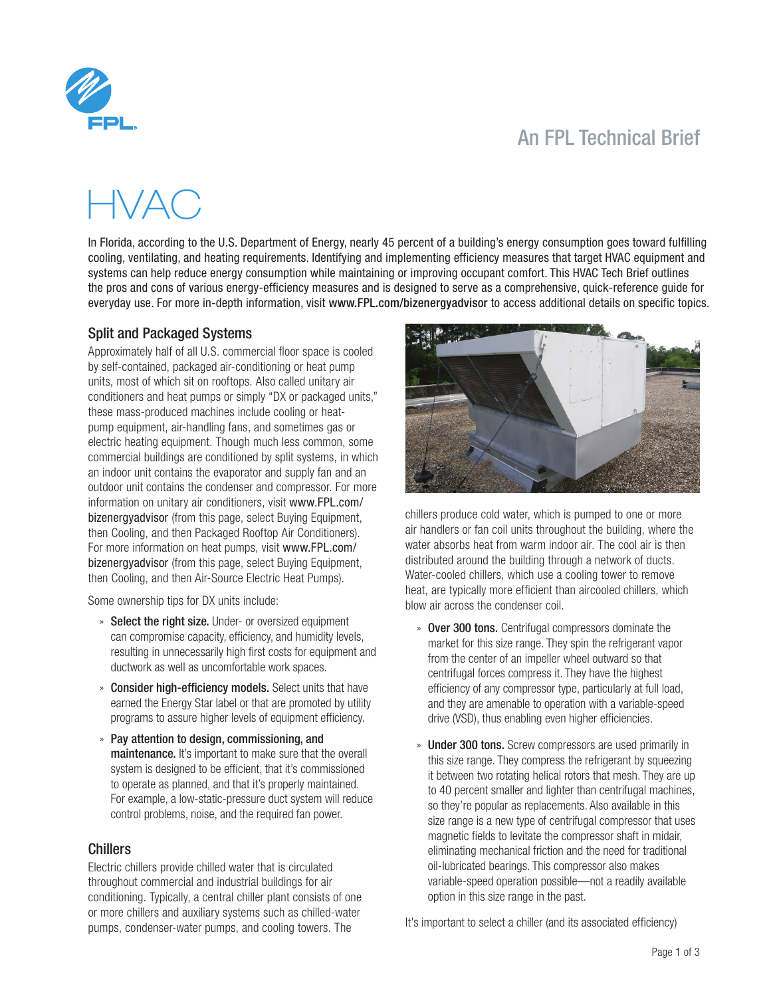# An FPL Technical Brief



# HVAC

In Florida, according to the U.S. Department of Energy, nearly 45 percent of a building's energy consumption goes toward fulfilling cooling, ventilating, and heating requirements. Identifying and implementing efficiency measures that target HVAC equipment and systems can help reduce energy consumption while maintaining or improving occupant comfort. This HVAC Tech Brief outlines the pros and cons of various energy-efficiency measures and is designed to serve as a comprehensive, quick-reference guide for everyday use. For more in-depth information, visit <www.FPL.com/bizenergyadvisor> to access additional details on specific topics.

#### Split and Packaged Systems

Approximately half of all U.S. commercial floor space is cooled by self-contained, packaged air-conditioning or heat pump units, most of which sit on rooftops. Also called unitary air conditioners and heat pumps or simply "DX or packaged units," these mass-produced machines include cooling or heatpump equipment, air-handling fans, and sometimes gas or electric heating equipment. Though much less common, some commercial buildings are conditioned by split systems, in which an indoor unit contains the evaporator and supply fan and an outdoor unit contains the condenser and compressor. For more information on unitary air conditioners, visit [www.FPL.com/](www.FPL.com/bizenergyadvisor) [bizenergyadvisor](www.FPL.com/bizenergyadvisor) (from this page, select Buying Equipment, then Cooling, and then Packaged Rooftop Air Conditioners). For more information on heat pumps, visit [www.FPL.com/](www.FPL.com/bizenergyadvisor) [bizenergyadvisor](www.FPL.com/bizenergyadvisor) (from this page, select Buying Equipment, then Cooling, and then Air-Source Electric Heat Pumps).

Some ownership tips for DX units include:

- » Select the right size. Under- or oversized equipment can compromise capacity, efficiency, and humidity levels, resulting in unnecessarily high first costs for equipment and ductwork as well as uncomfortable work spaces.
- » Consider high-efficiency models. Select units that have earned the Energy Star label or that are promoted by utility programs to assure higher levels of equipment efficiency.
- » Pay attention to design, commissioning, and maintenance. It's important to make sure that the overall system is designed to be efficient, that it's commissioned to operate as planned, and that it's properly maintained. For example, a low-static-pressure duct system will reduce control problems, noise, and the required fan power.

#### Chillers

Electric chillers provide chilled water that is circulated throughout commercial and industrial buildings for air conditioning. Typically, a central chiller plant consists of one or more chillers and auxiliary systems such as chilled-water pumps, condenser-water pumps, and cooling towers. The



chillers produce cold water, which is pumped to one or more air handlers or fan coil units throughout the building, where the water absorbs heat from warm indoor air. The cool air is then distributed around the building through a network of ducts. Water-cooled chillers, which use a cooling tower to remove heat, are typically more efficient than aircooled chillers, which blow air across the condenser coil.

- » Over 300 tons. Centrifugal compressors dominate the market for this size range. They spin the refrigerant vapor from the center of an impeller wheel outward so that centrifugal forces compress it. They have the highest efficiency of any compressor type, particularly at full load, and they are amenable to operation with a variable-speed drive (VSD), thus enabling even higher efficiencies.
- » Under 300 tons. Screw compressors are used primarily in this size range. They compress the refrigerant by squeezing it between two rotating helical rotors that mesh. They are up to 40 percent smaller and lighter than centrifugal machines, so they're popular as replacements. Also available in this size range is a new type of centrifugal compressor that uses magnetic fields to levitate the compressor shaft in midair, eliminating mechanical friction and the need for traditional oil-lubricated bearings. This compressor also makes variable-speed operation possible—not a readily available option in this size range in the past.

It's important to select a chiller (and its associated efficiency)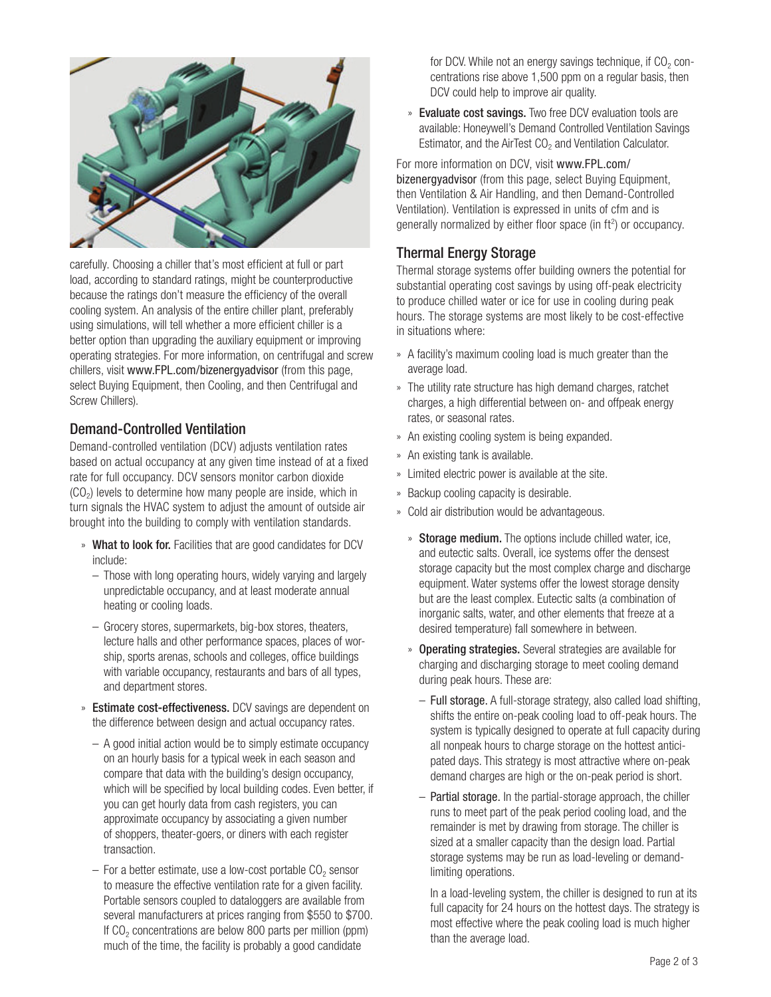

carefully. Choosing a chiller that's most efficient at full or part load, according to standard ratings, might be counterproductive because the ratings don't measure the efficiency of the overall cooling system. An analysis of the entire chiller plant, preferably using simulations, will tell whether a more efficient chiller is a better option than upgrading the auxiliary equipment or improving operating strategies. For more information, on centrifugal and screw chillers, visit <www.FPL.com/bizenergyadvisor> (from this page, select Buying Equipment, then Cooling, and then Centrifugal and Screw Chillers).

# Demand-Controlled Ventilation

Demand-controlled ventilation (DCV) adjusts ventilation rates based on actual occupancy at any given time instead of at a fixed rate for full occupancy. DCV sensors monitor carbon dioxide  $(CO<sub>2</sub>)$  levels to determine how many people are inside, which in turn signals the HVAC system to adjust the amount of outside air brought into the building to comply with ventilation standards.

- » What to look for. Facilities that are good candidates for DCV include:
	- Those with long operating hours, widely varying and largely unpredictable occupancy, and at least moderate annual heating or cooling loads.
	- Grocery stores, supermarkets, big-box stores, theaters, lecture halls and other performance spaces, places of worship, sports arenas, schools and colleges, office buildings with variable occupancy, restaurants and bars of all types, and department stores.
- » Estimate cost-effectiveness. DCV savings are dependent on the difference between design and actual occupancy rates.
	- A good initial action would be to simply estimate occupancy on an hourly basis for a typical week in each season and compare that data with the building's design occupancy, which will be specified by local building codes. Even better, if you can get hourly data from cash registers, you can approximate occupancy by associating a given number of shoppers, theater-goers, or diners with each register transaction.
	- $-$  For a better estimate, use a low-cost portable  $CO<sub>2</sub>$  sensor to measure the effective ventilation rate for a given facility. Portable sensors coupled to dataloggers are available from several manufacturers at prices ranging from \$550 to \$700. If CO<sub>2</sub> concentrations are below 800 parts per million (ppm) much of the time, the facility is probably a good candidate

for DCV. While not an energy savings technique, if  $CO<sub>2</sub>$  concentrations rise above 1,500 ppm on a regular basis, then DCV could help to improve air quality.

» Evaluate cost savings. Two free DCV evaluation tools are available: Honeywell's Demand Controlled Ventilation Savings Estimator, and the AirTest CO<sub>2</sub> and Ventilation Calculator.

For more information on DCV, visit [www.FPL.com/](www.FPL.com/bizenergyadvisor) [bizenergyadvisor](www.FPL.com/bizenergyadvisor) (from this page, select Buying Equipment, then Ventilation & Air Handling, and then Demand-Controlled Ventilation). Ventilation is expressed in units of cfm and is generally normalized by either floor space (in ft<sup>2</sup>) or occupancy.

# Thermal Energy Storage

Thermal storage systems offer building owners the potential for substantial operating cost savings by using off-peak electricity to produce chilled water or ice for use in cooling during peak hours. The storage systems are most likely to be cost-effective in situations where:

- » A facility's maximum cooling load is much greater than the average load.
- » The utility rate structure has high demand charges, ratchet charges, a high differential between on- and offpeak energy rates, or seasonal rates.
- » An existing cooling system is being expanded.
- » An existing tank is available.
- » Limited electric power is available at the site.
- » Backup cooling capacity is desirable.
- » Cold air distribution would be advantageous.
	- » Storage medium. The options include chilled water, ice, and eutectic salts. Overall, ice systems offer the densest storage capacity but the most complex charge and discharge equipment. Water systems offer the lowest storage density but are the least complex. Eutectic salts (a combination of inorganic salts, water, and other elements that freeze at a desired temperature) fall somewhere in between.
	- » Operating strategies. Several strategies are available for charging and discharging storage to meet cooling demand during peak hours. These are:
		- Full storage. A full-storage strategy, also called load shifting, shifts the entire on-peak cooling load to off-peak hours. The system is typically designed to operate at full capacity during all nonpeak hours to charge storage on the hottest anticipated days. This strategy is most attractive where on-peak demand charges are high or the on-peak period is short.
		- Partial storage. In the partial-storage approach, the chiller runs to meet part of the peak period cooling load, and the remainder is met by drawing from storage. The chiller is sized at a smaller capacity than the design load. Partial storage systems may be run as load-leveling or demandlimiting operations.

In a load-leveling system, the chiller is designed to run at its full capacity for 24 hours on the hottest days. The strategy is most effective where the peak cooling load is much higher than the average load.